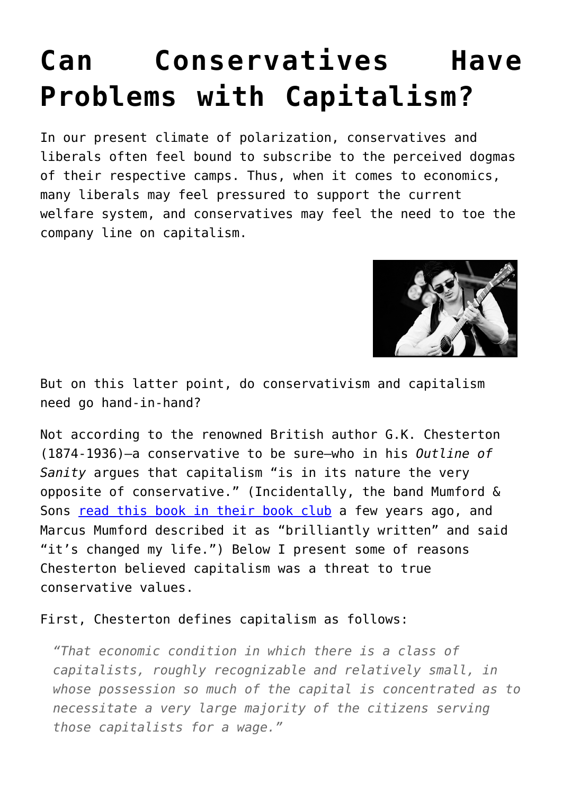## **[Can Conservatives Have](https://intellectualtakeout.org/2015/08/can-conservatives-have-problems-with-capitalism/) [Problems with Capitalism?](https://intellectualtakeout.org/2015/08/can-conservatives-have-problems-with-capitalism/)**

In our present climate of polarization, conservatives and liberals often feel bound to subscribe to the perceived dogmas of their respective camps. Thus, when it comes to economics, many liberals may feel pressured to support the current welfare system, and conservatives may feel the need to toe the company line on capitalism.



But on this latter point, do conservativism and capitalism need go hand-in-hand?

Not according to the renowned British author G.K. Chesterton (1874-1936)—a conservative to be sure—who in his *Outline of Sanity* argues that capitalism "is in its nature the very opposite of conservative." (Incidentally, the band Mumford & Sons [read this book in their book club](http://www.mumfordandsons.com/blog/book-club-returns-book-3-the-outline-of-sanity-and-more/) a few years ago, and Marcus Mumford described it as "brilliantly written" and said "it's changed my life.") Below I present some of reasons Chesterton believed capitalism was a threat to true conservative values.

First, Chesterton defines capitalism as follows:

*"That economic condition in which there is a class of capitalists, roughly recognizable and relatively small, in whose possession so much of the capital is concentrated as to necessitate a very large majority of the citizens serving those capitalists for a wage."*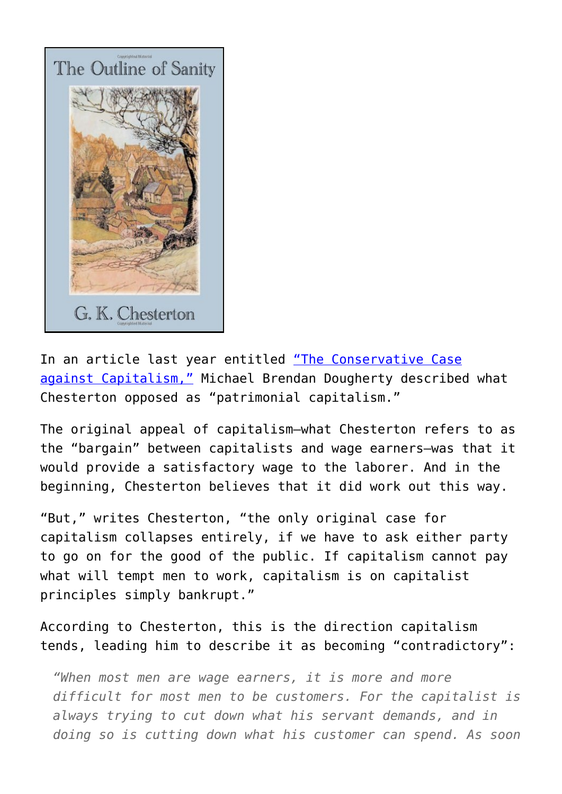

In an article last year entitled ["The Conservative Case](http://theweek.com/articles/448461/conservative-case-against-capitalism) [against Capitalism,"](http://theweek.com/articles/448461/conservative-case-against-capitalism) Michael Brendan Dougherty described what Chesterton opposed as "patrimonial capitalism."

The original appeal of capitalism—what Chesterton refers to as the "bargain" between capitalists and wage earners—was that it would provide a satisfactory wage to the laborer. And in the beginning, Chesterton believes that it did work out this way.

"But," writes Chesterton, "the only original case for capitalism collapses entirely, if we have to ask either party to go on for the good of the public. If capitalism cannot pay what will tempt men to work, capitalism is on capitalist principles simply bankrupt."

According to Chesterton, this is the direction capitalism tends, leading him to describe it as becoming "contradictory":

*"When most men are wage earners, it is more and more difficult for most men to be customers. For the capitalist is always trying to cut down what his servant demands, and in doing so is cutting down what his customer can spend. As soon*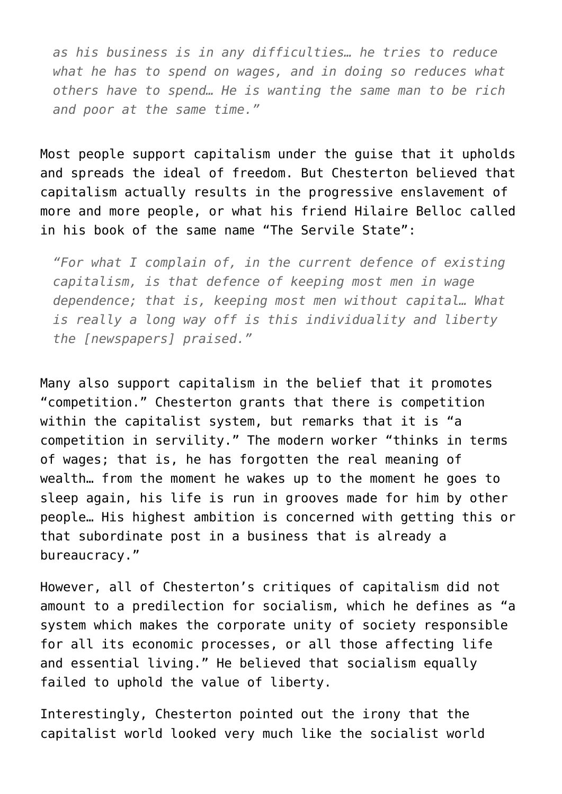*as his business is in any difficulties… he tries to reduce what he has to spend on wages, and in doing so reduces what others have to spend… He is wanting the same man to be rich and poor at the same time."*

Most people support capitalism under the guise that it upholds and spreads the ideal of freedom. But Chesterton believed that capitalism actually results in the progressive enslavement of more and more people, or what his friend Hilaire Belloc called in his book of the same name "The Servile State":

*"For what I complain of, in the current defence of existing capitalism, is that defence of keeping most men in wage dependence; that is, keeping most men without capital… What is really a long way off is this individuality and liberty the [newspapers] praised."*

Many also support capitalism in the belief that it promotes "competition." Chesterton grants that there is competition within the capitalist system, but remarks that it is "a competition in servility." The modern worker "thinks in terms of wages; that is, he has forgotten the real meaning of wealth… from the moment he wakes up to the moment he goes to sleep again, his life is run in grooves made for him by other people… His highest ambition is concerned with getting this or that subordinate post in a business that is already a bureaucracy."

However, all of Chesterton's critiques of capitalism did not amount to a predilection for socialism, which he defines as "a system which makes the corporate unity of society responsible for all its economic processes, or all those affecting life and essential living." He believed that socialism equally failed to uphold the value of liberty.

Interestingly, Chesterton pointed out the irony that the capitalist world looked very much like the socialist world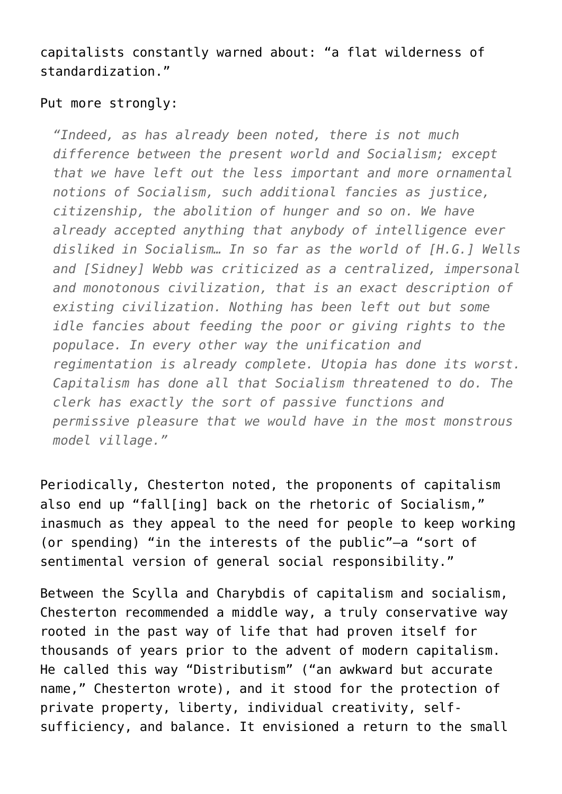capitalists constantly warned about: "a flat wilderness of standardization."

## Put more strongly:

*"Indeed, as has already been noted, there is not much difference between the present world and Socialism; except that we have left out the less important and more ornamental notions of Socialism, such additional fancies as justice, citizenship, the abolition of hunger and so on. We have already accepted anything that anybody of intelligence ever disliked in Socialism… In so far as the world of [H.G.] Wells and [Sidney] Webb was criticized as a centralized, impersonal and monotonous civilization, that is an exact description of existing civilization. Nothing has been left out but some idle fancies about feeding the poor or giving rights to the populace. In every other way the unification and regimentation is already complete. Utopia has done its worst. Capitalism has done all that Socialism threatened to do. The clerk has exactly the sort of passive functions and permissive pleasure that we would have in the most monstrous model village."*

Periodically, Chesterton noted, the proponents of capitalism also end up "fall[ing] back on the rhetoric of Socialism," inasmuch as they appeal to the need for people to keep working (or spending) "in the interests of the public"—a "sort of sentimental version of general social responsibility."

Between the Scylla and Charybdis of capitalism and socialism, Chesterton recommended a middle way, a truly conservative way rooted in the past way of life that had proven itself for thousands of years prior to the advent of modern capitalism. He called this way "Distributism" ("an awkward but accurate name," Chesterton wrote), and it stood for the protection of private property, liberty, individual creativity, selfsufficiency, and balance. It envisioned a return to the small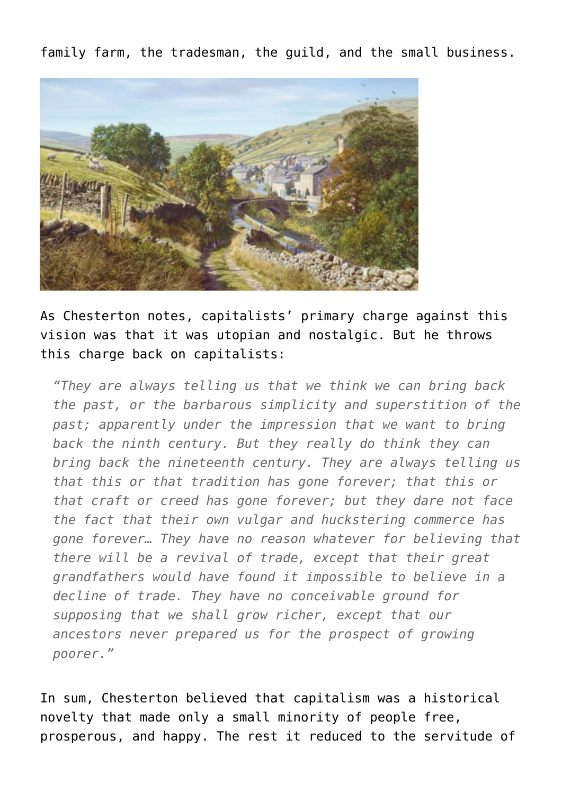family farm, the tradesman, the guild, and the small business.



As Chesterton notes, capitalists' primary charge against this vision was that it was utopian and nostalgic. But he throws this charge back on capitalists:

*"They are always telling us that we think we can bring back the past, or the barbarous simplicity and superstition of the past; apparently under the impression that we want to bring back the ninth century. But they really do think they can bring back the nineteenth century. They are always telling us that this or that tradition has gone forever; that this or that craft or creed has gone forever; but they dare not face the fact that their own vulgar and huckstering commerce has gone forever… They have no reason whatever for believing that there will be a revival of trade, except that their great grandfathers would have found it impossible to believe in a decline of trade. They have no conceivable ground for supposing that we shall grow richer, except that our ancestors never prepared us for the prospect of growing poorer."*

In sum, Chesterton believed that capitalism was a historical novelty that made only a small minority of people free, prosperous, and happy. The rest it reduced to the servitude of